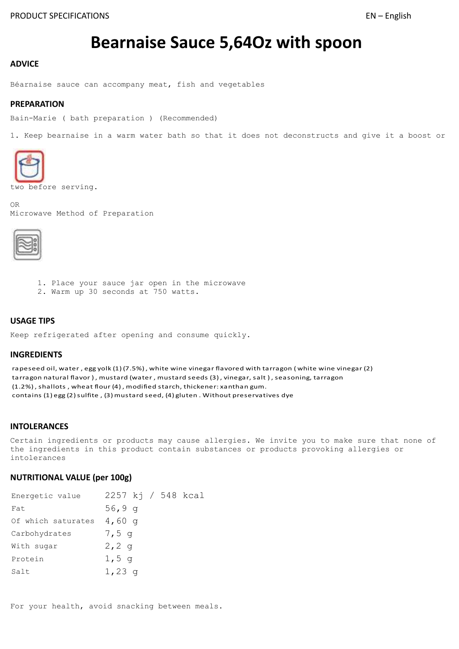# **Bearnaise Sauce 5,64Oz with spoon**

## **ADVICE**

Béarnaise sauce can accompany meat, fish and vegetables

#### **PREPARATION**

Bain-Marie ( bath preparation ) (Recommended)

1. Keep bearnaise in a warm water bath so that it does not deconstructs and give it a boost or



two before serving.

OR Microwave Method of Preparation



- 1. Place your sauce jar open in the microwave
- 2. Warm up 30 seconds at 750 watts.

# **USAGE TIPS**

Keep refrigerated after opening and consume quickly.

#### **INGREDIENTS**

rapeseed oil, water , egg yolk (1) (7.5%) , white wine vinegar flavored with tarragon ( white wine vinegar (2) tarragon natural flavor), mustard (water, mustard seeds (3), vinegar, salt), seasoning, tarragon (1.2%) , shallots , wheat flour (4) , modified starch, thickener: xanthan gum. contains (1) egg (2) sulfite , (3) mustard seed, (4) gluten . Without preservatives dye

#### **INTOLERANCES**

Certain ingredients or products may cause allergies. We invite you to make sure that none of the ingredients in this product contain substances or products provoking allergies or intolerances

## **NUTRITIONAL VALUE (per 100g)**

| Energetic value    | 2257 kj / 548 kcal |
|--------------------|--------------------|
| Fat                | 56,9 $q$           |
| Of which saturates | $4,60$ q           |
| Carbohydrates      | $7,5$ q            |
| With sugar         | 2, 2, q            |
| Protein            | $1,5$ q            |
| Salt               | $1,23$ q           |

For your health, avoid snacking between meals.